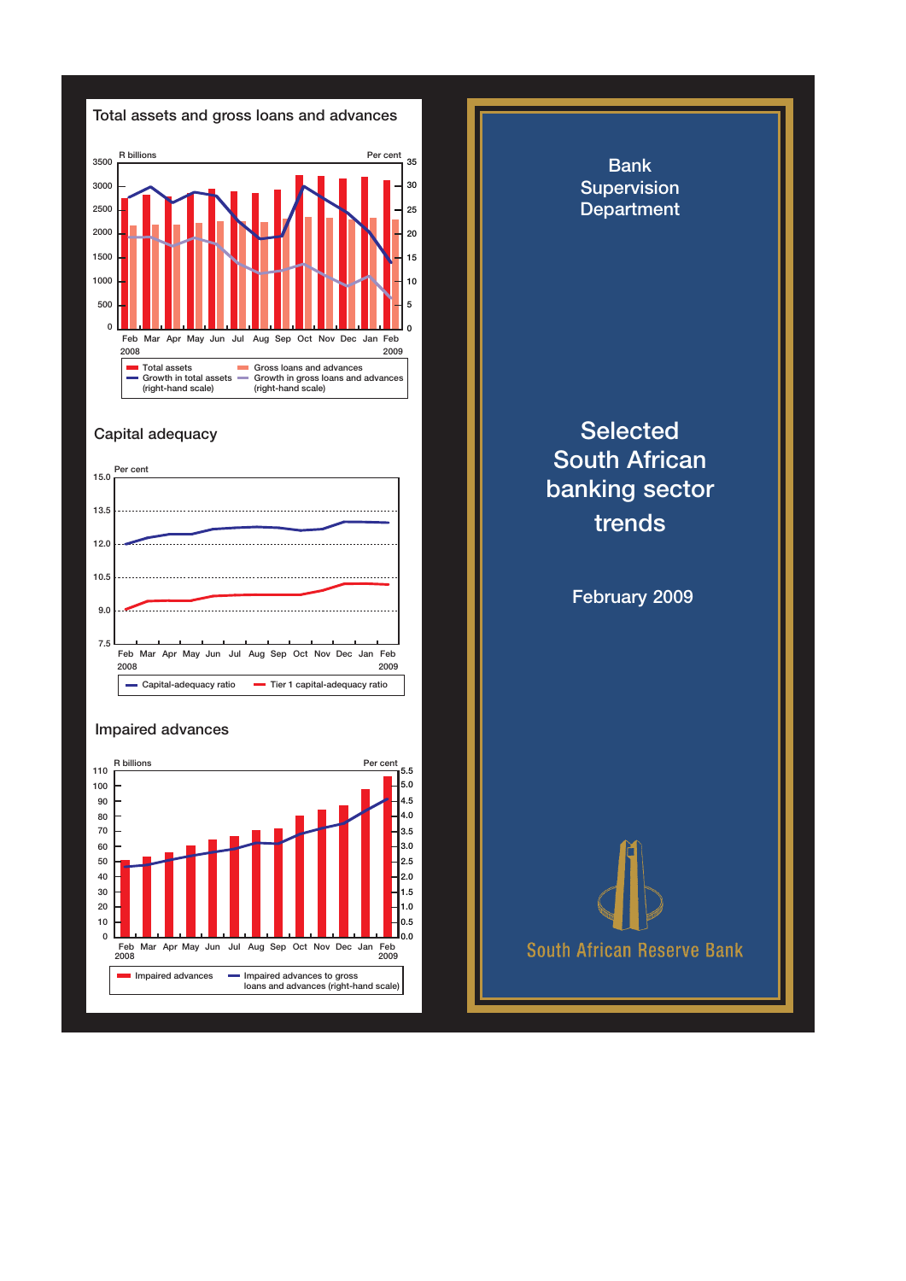

## Capital adequacy



## Impaired advances